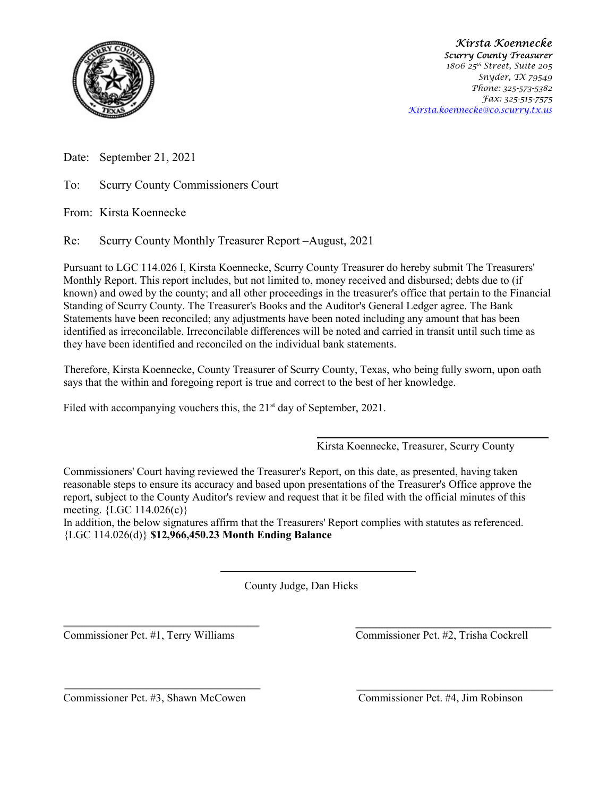

 Kirsta Koennecke Scurry County Treasurer 1806 25<sup>th</sup> Street, Suite 205 Snyder, TX 79549 Phone: 325-573-5382 Fax: 325-515-7575 Kirsta.koennecke@co.scurry.tx.us

Date: September 21, 2021

To: Scurry County Commissioners Court

From: Kirsta Koennecke

Re: Scurry County Monthly Treasurer Report –August, 2021

Pursuant to LGC 114.026 I, Kirsta Koennecke, Scurry County Treasurer do hereby submit The Treasurers' Monthly Report. This report includes, but not limited to, money received and disbursed; debts due to (if known) and owed by the county; and all other proceedings in the treasurer's office that pertain to the Financial Standing of Scurry County. The Treasurer's Books and the Auditor's General Ledger agree. The Bank Statements have been reconciled; any adjustments have been noted including any amount that has been identified as irreconcilable. Irreconcilable differences will be noted and carried in transit until such time as they have been identified and reconciled on the individual bank statements.

Therefore, Kirsta Koennecke, County Treasurer of Scurry County, Texas, who being fully sworn, upon oath says that the within and foregoing report is true and correct to the best of her knowledge.

Filed with accompanying vouchers this, the 21<sup>st</sup> day of September, 2021.

Kirsta Koennecke, Treasurer, Scurry County

Commissioners' Court having reviewed the Treasurer's Report, on this date, as presented, having taken reasonable steps to ensure its accuracy and based upon presentations of the Treasurer's Office approve the report, subject to the County Auditor's review and request that it be filed with the official minutes of this meeting. {LGC 114.026(c)}

In addition, the below signatures affirm that the Treasurers' Report complies with statutes as referenced. {LGC 114.026(d)} \$12,966,450.23 Month Ending Balance

County Judge, Dan Hicks

Commissioner Pct. #1, Terry Williams Commissioner Pct. #2, Trisha Cockrell

Commissioner Pct. #3, Shawn McCowen Commissioner Pct. #4, Jim Robinson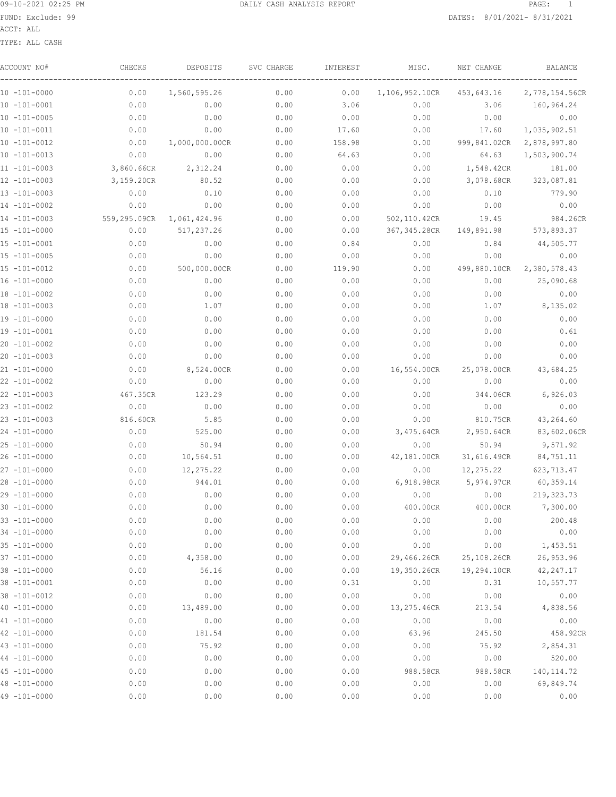ACCT: ALL

TYPE: ALL CASH

| ACCOUNT NO#       | CHECKS       | DEPOSITS       | SVC CHARGE | INTEREST | MISC.          | NET CHANGE   | BALANCE        |
|-------------------|--------------|----------------|------------|----------|----------------|--------------|----------------|
| 10 -101-0000      | 0.00         | 1,560,595.26   | 0.00       | 0.00     | 1,106,952.10CR | 453,643.16   | 2,778,154.56CR |
| 10 -101-0001      | 0.00         | 0.00           | 0.00       | 3.06     | 0.00           | 3.06         | 160,964.24     |
| $10 - 101 - 0005$ | 0.00         | 0.00           | 0.00       | 0.00     | 0.00           | 0.00         | 0.00           |
| 10 -101-0011      | 0.00         | 0.00           | 0.00       | 17.60    | 0.00           | 17.60        | 1,035,902.51   |
| $10 - 101 - 0012$ | 0.00         | 1,000,000.00CR | 0.00       | 158.98   | 0.00           | 999,841.02CR | 2,878,997.80   |
| $10 - 101 - 0013$ | 0.00         | 0.00           | 0.00       | 64.63    | 0.00           | 64.63        | 1,503,900.74   |
| $11 - 101 - 0003$ | 3,860.66CR   | 2,312.24       | 0.00       | 0.00     | 0.00           | 1,548.42CR   | 181.00         |
| 12 -101-0003      | 3,159.20CR   | 80.52          | 0.00       | 0.00     | 0.00           | 3,078.68CR   | 323,087.81     |
| $13 - 101 - 0003$ | 0.00         | 0.10           | 0.00       | 0.00     | 0.00           | 0.10         | 779.90         |
| 14 -101-0002      | 0.00         | 0.00           | 0.00       | 0.00     | 0.00           | 0.00         | 0.00           |
| 14 -101-0003      | 559,295.09CR | 1,061,424.96   | 0.00       | 0.00     | 502,110.42CR   | 19.45        | 984.26CR       |
| $15 - 101 - 0000$ | 0.00         | 517,237.26     | 0.00       | 0.00     | 367, 345.28CR  | 149,891.98   | 573,893.37     |
| $15 - 101 - 0001$ | 0.00         | 0.00           | 0.00       | 0.84     | 0.00           | 0.84         | 44,505.77      |
| $15 - 101 - 0005$ | 0.00         | 0.00           | 0.00       | 0.00     | 0.00           | 0.00         | 0.00           |
| $15 - 101 - 0012$ | 0.00         | 500,000.00CR   | 0.00       | 119.90   | 0.00           | 499,880.10CR | 2,380,578.43   |
| 16 -101-0000      | 0.00         | 0.00           | 0.00       | 0.00     | 0.00           | 0.00         | 25,090.68      |
| 18 -101-0002      | 0.00         | 0.00           | 0.00       | 0.00     | 0.00           | 0.00         | 0.00           |
| 18 -101-0003      | 0.00         | 1.07           | 0.00       | 0.00     | 0.00           | 1.07         | 8,135.02       |
| 19 -101-0000      | 0.00         | 0.00           | 0.00       | 0.00     | 0.00           | 0.00         | 0.00           |
| 19 -101-0001      | 0.00         | 0.00           | 0.00       | 0.00     | 0.00           | 0.00         | 0.61           |
| 20 -101-0002      | 0.00         | 0.00           | 0.00       | 0.00     | 0.00           | 0.00         | 0.00           |
| 20 -101-0003      | 0.00         | 0.00           | 0.00       | 0.00     | 0.00           | 0.00         | 0.00           |
| $21 - 101 - 0000$ | 0.00         | 8,524.00CR     | 0.00       | 0.00     | 16,554.00CR    | 25,078.00CR  | 43,684.25      |
| $22 - 101 - 0002$ | 0.00         | 0.00           | 0.00       | 0.00     | 0.00           | 0.00         | 0.00           |
| $22 - 101 - 0003$ | 467.35CR     | 123.29         | 0.00       | 0.00     | 0.00           | 344.06CR     | 6,926.03       |
| 23 -101-0002      | 0.00         | 0.00           | 0.00       | 0.00     | 0.00           | 0.00         | 0.00           |
| 23 -101-0003      | 816.60CR     | 5.85           | 0.00       | 0.00     | 0.00           | 810.75CR     | 43,264.60      |
| 24 -101-0000      | 0.00         | 525.00         | 0.00       | 0.00     | 3,475.64CR     | 2,950.64CR   | 83,602.06CR    |
| 25 -101-0000      | 0.00         | 50.94          | 0.00       | 0.00     | 0.00           | 50.94        | 9,571.92       |
| 26 -101-0000      | 0.00         | 10,564.51      | 0.00       | 0.00     | 42,181.00CR    | 31,616.49CR  | 84,751.11      |
| 27 -101-0000      | 0.00         | 12,275.22      | 0.00       | 0.00     | 0.00           | 12,275.22    | 623, 713.47    |
| 28 -101-0000      | 0.00         | 944.01         | 0.00       | 0.00     | 6,918.98CR     | 5,974.97CR   | 60,359.14      |
| $29 - 101 - 0000$ | 0.00         | 0.00           | 0.00       | 0.00     | 0.00           | 0.00         | 219, 323.73    |
| $30 - 101 - 0000$ | 0.00         | 0.00           | 0.00       | 0.00     | 400.00CR       | 400.00CR     | 7,300.00       |
| $33 - 101 - 0000$ | 0.00         | 0.00           | 0.00       | 0.00     | 0.00           | 0.00         | 200.48         |
| $34 - 101 - 0000$ | 0.00         | 0.00           | 0.00       | 0.00     | 0.00           | 0.00         | 0.00           |
| 35 -101-0000      | 0.00         | 0.00           | 0.00       | 0.00     | 0.00           | 0.00         | 1,453.51       |
| 37 -101-0000      | 0.00         | 4,358.00       | 0.00       | 0.00     | 29,466.26CR    | 25,108.26CR  | 26,953.96      |
| 38 -101-0000      | 0.00         | 56.16          | 0.00       | 0.00     | 19,350.26CR    | 19,294.10CR  | 42, 247.17     |
| 38 -101-0001      | 0.00         | 0.00           | 0.00       | 0.31     | 0.00           | 0.31         | 10,557.77      |
| $38 - 101 - 0012$ | 0.00         | 0.00           | 0.00       | 0.00     | 0.00           | 0.00         | 0.00           |
| $40 - 101 - 0000$ | 0.00         | 13,489.00      | 0.00       | 0.00     | 13,275.46CR    | 213.54       | 4,838.56       |
| 41 -101-0000      | 0.00         | 0.00           | 0.00       | 0.00     | 0.00           | 0.00         | 0.00           |
| 42 -101-0000      | 0.00         | 181.54         | 0.00       | 0.00     | 63.96          | 245.50       | 458.92CR       |
| 43 -101-0000      | 0.00         | 75.92          | 0.00       | 0.00     | 0.00           | 75.92        | 2,854.31       |
| 44 -101-0000      | 0.00         | 0.00           | 0.00       | 0.00     | 0.00           | 0.00         | 520.00         |
| $45 - 101 - 0000$ | 0.00         | 0.00           | 0.00       | 0.00     | 988.58CR       | 988.58CR     | 140, 114.72    |
| 48 -101-0000      | 0.00         | 0.00           | 0.00       | 0.00     | 0.00           | 0.00         | 69,849.74      |
| 49 -101-0000      | 0.00         | 0.00           | 0.00       | 0.00     | 0.00           | 0.00         | 0.00           |
|                   |              |                |            |          |                |              |                |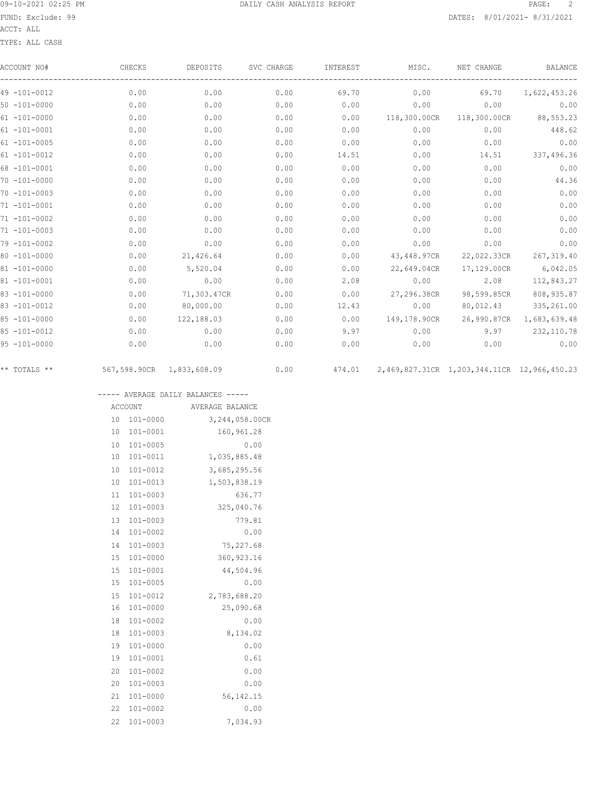ACCT: ALL

TYPE: ALL CASH

| ACCOUNT NO#       | CHECKS       | DEPOSITS     | SVC CHARGE | INTEREST | MISC.        | NET CHANGE                                  | <b>BALANCE</b> |
|-------------------|--------------|--------------|------------|----------|--------------|---------------------------------------------|----------------|
| $49 - 101 - 0012$ | 0.00         | 0.00         | 0.00       | 69.70    | 0.00         | 69.70                                       | 1,622,453.26   |
| $50 - 101 - 0000$ | 0.00         | 0.00         | 0.00       | 0.00     | 0.00         | 0.00                                        | 0.00           |
| $61 - 101 - 0000$ | 0.00         | 0.00         | 0.00       | 0.00     | 118,300.00CR | 118,300.00CR                                | 88,553.23      |
| $61 - 101 - 0001$ | 0.00         | 0.00         | 0.00       | 0.00     | 0.00         | 0.00                                        | 448.62         |
| $61 - 101 - 0005$ | 0.00         | 0.00         | 0.00       | 0.00     | 0.00         | 0.00                                        | 0.00           |
| $61 - 101 - 0012$ | 0.00         | 0.00         | 0.00       | 14.51    | 0.00         | 14.51                                       | 337,496.36     |
| $68 - 101 - 0001$ | 0.00         | 0.00         | 0.00       | 0.00     | 0.00         | 0.00                                        | 0.00           |
| $70 - 101 - 0000$ | 0.00         | 0.00         | 0.00       | 0.00     | 0.00         | 0.00                                        | 44.36          |
| $70 - 101 - 0003$ | 0.00         | 0.00         | 0.00       | 0.00     | 0.00         | 0.00                                        | 0.00           |
| $71 - 101 - 0001$ | 0.00         | 0.00         | 0.00       | 0.00     | 0.00         | 0.00                                        | 0.00           |
| $71 - 101 - 0002$ | 0.00         | 0.00         | 0.00       | 0.00     | 0.00         | 0.00                                        | 0.00           |
| $71 - 101 - 0003$ | 0.00         | 0.00         | 0.00       | 0.00     | 0.00         | 0.00                                        | 0.00           |
| 79 -101-0002      | 0.00         | 0.00         | 0.00       | 0.00     | 0.00         | 0.00                                        | 0.00           |
| $80 - 101 - 0000$ | 0.00         | 21,426.64    | 0.00       | 0.00     | 43,448.97CR  | 22,022.33CR                                 | 267,319.40     |
| $81 - 101 - 0000$ | 0.00         | 5,520.04     | 0.00       | 0.00     | 22,649.04CR  | 17,129.00CR                                 | 6,042.05       |
| $81 - 101 - 0001$ | 0.00         | 0.00         | 0.00       | 2.08     | 0.00         | 2.08                                        | 112,843.27     |
| $83 - 101 - 0000$ | 0.00         | 71,303.47CR  | 0.00       | 0.00     | 27,296.38CR  | 98,599.85CR                                 | 808,935.87     |
| $83 - 101 - 0012$ | 0.00         | 80,000.00    | 0.00       | 12.43    | 0.00         | 80,012.43                                   | 335,261.00     |
| $85 - 101 - 0000$ | 0.00         | 122,188.03   | 0.00       | 0.00     | 149,178.90CR | 26,990.87CR                                 | 1,683,639.48   |
| $85 - 101 - 0012$ | 0.00         | 0.00         | 0.00       | 9.97     | 0.00         | 9.97                                        | 232,110.78     |
| $95 - 101 - 0000$ | 0.00         | 0.00         | 0.00       | 0.00     | 0.00         | 0.00                                        | 0.00           |
| ** TOTALS **      | 567,598.90CR | 1,833,608.09 | 0.00       | 474.01   |              | 2,469,827.31CR 1,203,344.11CR 12,966,450.23 |                |

----- AVERAGE DAILY BALANCES -----

|    | ACCOUNT      | AVERAGE BALANCE |
|----|--------------|-----------------|
| 10 | 101-0000     | 3,244,058.00CR  |
| 10 | 101-0001     | 160,961.28      |
| 10 | $101 - 0005$ | 0.00            |
| 10 | 101-0011     | 1,035,885.48    |
| 10 | 101-0012     | 3,685,295.56    |
| 10 | $101 - 0013$ | 1,503,838.19    |
| 11 | $101 - 0003$ | 636.77          |
| 12 | 101-0003     | 325,040.76      |
| 13 | $101 - 0003$ | 779.81          |
| 14 | $101 - 0002$ | 0.00            |
| 14 | $101 - 0003$ | 75,227.68       |
| 15 | $101 - 0000$ | 360, 923.16     |
| 15 | $101 - 0001$ | 44,504.96       |
| 15 | $101 - 0005$ | 0.00            |
| 15 | 101-0012     | 2,783,688.20    |
| 16 | 101-0000     | 25,090.68       |
| 18 | $101 - 0002$ | 0.00            |
| 18 | 101-0003     | 8,134.02        |
| 19 | 101-0000     | 0.00            |
| 19 | 101-0001     | 0.61            |
| 20 | $101 - 0002$ | 0.00            |
| 20 | $101 - 0003$ | 0.00            |
| 21 | $101 - 0000$ | 56, 142. 15     |
| 22 | $101 - 0002$ | 0.00            |
| 22 | $101 - 0003$ | 7,034.93        |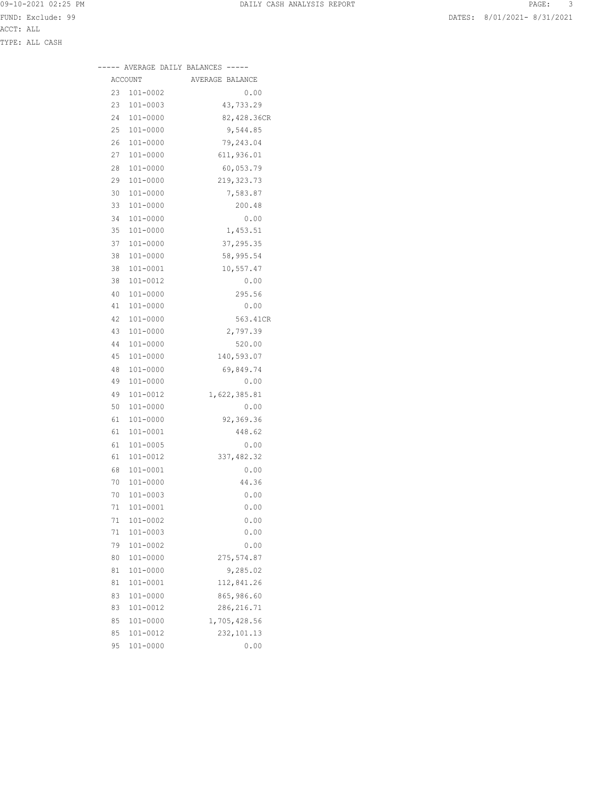|    |          | ----- AVERAGE DAILY BALANCES ----- |
|----|----------|------------------------------------|
|    | ACCOUNT  | AVERAGE BALANCE                    |
| 23 | 101-0002 | 0.00                               |
| 23 | 101-0003 | 43,733.29                          |
| 24 | 101-0000 | 82,428.36CR                        |
| 25 | 101-0000 | 9,544.85                           |
| 26 | 101-0000 | 79,243.04                          |
| 27 | 101-0000 | 611,936.01                         |
| 28 | 101-0000 | 60,053.79                          |
| 29 | 101-0000 | 219, 323. 73                       |
| 30 | 101-0000 | 7,583.87                           |
| 33 | 101-0000 | 200.48                             |
| 34 | 101-0000 | 0.00                               |
| 35 | 101-0000 | 1,453.51                           |
| 37 | 101-0000 | 37,295.35                          |
| 38 | 101-0000 | 58,995.54                          |
| 38 | 101-0001 | 10,557.47                          |
| 38 | 101-0012 | 0.00                               |
| 40 | 101-0000 | 295.56                             |
| 41 | 101-0000 | 0.00                               |
| 42 | 101-0000 | 563.41CR                           |
| 43 | 101-0000 | 2,797.39                           |
| 44 | 101-0000 | 520.00                             |
| 45 | 101-0000 | 140,593.07                         |
| 48 | 101-0000 | 69,849.74                          |
| 49 | 101-0000 | 0.00                               |
| 49 | 101-0012 | 1,622,385.81                       |
| 50 | 101-0000 | 0.00                               |
| 61 | 101-0000 | 92,369.36                          |
| 61 | 101-0001 | 448.62                             |
| 61 | 101-0005 | 0.00                               |
| 61 | 101-0012 | 337,482.32                         |
| 68 | 101-0001 | 0.00                               |
| 70 | 101-0000 | 44.36                              |
| 70 | 101-0003 | 0.00                               |
| 71 | 101-0001 | 0.00                               |
| 71 | 101-0002 | 0.00                               |
| 71 | 101-0003 | 0.00                               |
| 79 | 101-0002 | 0.00                               |
| 80 | 101-0000 | 275, 574.87                        |
| 81 | 101-0000 | 9,285.02                           |
| 81 | 101-0001 | 112,841.26                         |
| 83 | 101-0000 | 865,986.60                         |
| 83 | 101-0012 | 286, 216.71                        |
| 85 | 101-0000 | 1,705,428.56                       |
| 85 | 101-0012 | 232, 101.13                        |

95 101-0000 0.00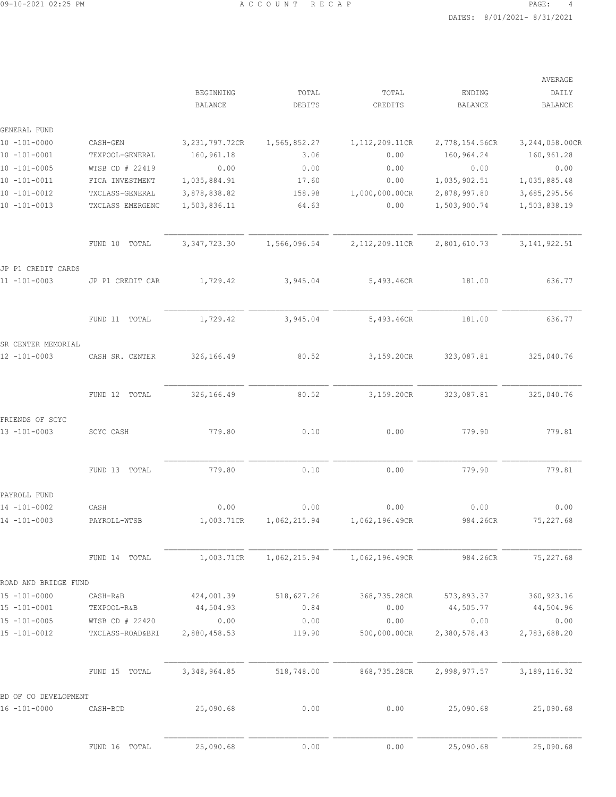|                      |                |                                               |                |                                        | AVERAGE                                    |
|----------------------|----------------|-----------------------------------------------|----------------|----------------------------------------|--------------------------------------------|
|                      | BEGINNING      | TOTAL                                         | TOTAL          | ENDING                                 | DAILY                                      |
|                      | <b>BALANCE</b> | DEBITS                                        | CREDITS        | <b>BALANCE</b>                         | <b>BALANCE</b>                             |
|                      |                |                                               |                |                                        |                                            |
|                      |                |                                               |                |                                        | 3,244,058.00CR                             |
| TEXPOOL-GENERAL      |                | 3.06                                          |                |                                        | 160,961.28                                 |
| WTSB CD # 22419      | 0.00           | 0.00                                          | 0.00           | 0.00                                   | 0.00                                       |
| FICA INVESTMENT      | 1,035,884.91   | 17.60                                         | 0.00           | 1,035,902.51                           | 1,035,885.48                               |
| TXCLASS-GENERAL      | 3,878,838.82   | 158.98                                        | 1,000,000.00CR | 2,878,997.80                           | 3,685,295.56                               |
| TXCLASS EMERGENC     | 1,503,836.11   | 64.63                                         | 0.00           | 1,503,900.74                           | 1,503,838.19                               |
| FUND 10 TOTAL        | 3, 347, 723.30 | 1,566,096.54                                  | 2,112,209.11CR | 2,801,610.73                           | 3, 141, 922.51                             |
|                      |                |                                               |                |                                        |                                            |
| JP P1 CREDIT CAR     | 1,729.42       | 3,945.04                                      | 5,493.46CR     | 181.00                                 | 636.77                                     |
| FUND 11 TOTAL        | 1,729.42       | 3,945.04                                      | 5,493.46CR     | 181.00                                 | 636.77                                     |
| CASH SR. CENTER      |                | 80.52                                         |                |                                        | 325,040.76                                 |
|                      |                |                                               |                |                                        |                                            |
| FUND 12 TOTAL        | 326,166.49     | 80.52                                         | 3,159.20CR     | 323,087.81                             | 325,040.76                                 |
|                      |                |                                               |                |                                        |                                            |
| SCYC CASH            | 779.80         | 0.10                                          | 0.00           | 779.90                                 | 779.81                                     |
| FUND 13 TOTAL        | 779.80         | 0.10                                          | 0.00           | 779.90                                 | 779.81                                     |
|                      |                |                                               |                |                                        |                                            |
| CASH                 | 0.00           | 0.00                                          | 0.00           | 0.00                                   | 0.00                                       |
| PAYROLL-WTSB         | 1,003.71CR     | 1,062,215.94                                  | 1,062,196.49CR | 984.26CR                               | 75,227.68                                  |
| FUND 14 TOTAL        | 1,003.71CR     | 1,062,215.94                                  | 1,062,196.49CR | 984.26CR                               | 75,227.68                                  |
| ROAD AND BRIDGE FUND |                |                                               |                |                                        |                                            |
| CASH-R&B             | 424,001.39     | 518,627.26                                    | 368,735.28CR   | 573,893.37                             | 360, 923.16                                |
| TEXPOOL-R&B          | 44,504.93      | 0.84                                          | 0.00           | 44,505.77                              | 44,504.96                                  |
| WTSB CD # 22420      | 0.00           | 0.00                                          | 0.00           | 0.00                                   | 0.00                                       |
| TXCLASS-ROAD&BRI     | 2,880,458.53   | 119.90                                        | 500,000.00CR   | 2,380,578.43                           | 2,783,688.20                               |
| FUND 15 TOTAL        | 3, 348, 964.85 | 518,748.00                                    | 868,735.28CR   | 2,998,977.57                           | 3, 189, 116.32                             |
| BD OF CO DEVELOPMENT |                |                                               |                |                                        |                                            |
| CASH-BCD             | 25,090.68      | 0.00                                          | 0.00           | 25,090.68                              | 25,090.68                                  |
| FUND 16 TOTAL        | 25,090.68      | 0.00                                          | 0.00           | 25,090.68                              | 25,090.68                                  |
|                      | CASH-GEN       | 3, 231, 797. 72CR<br>160,961.18<br>326,166.49 | 1,565,852.27   | 1, 112, 209.11CR<br>0.00<br>3,159.20CR | 2,778,154.56CR<br>160,964.24<br>323,087.81 |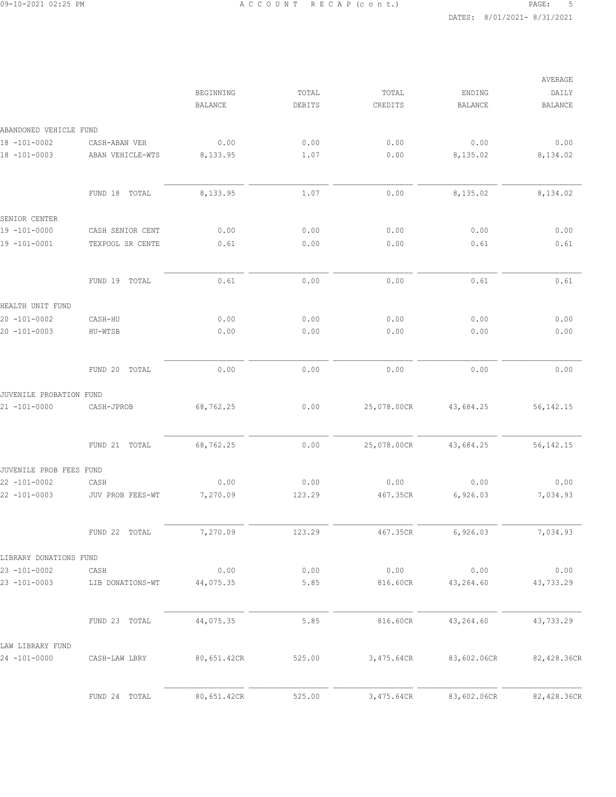|                         |                  |                |        |             |             | AVERAGE        |
|-------------------------|------------------|----------------|--------|-------------|-------------|----------------|
|                         |                  | BEGINNING      | TOTAL  | TOTAL       | ENDING      | DAILY          |
|                         |                  | <b>BALANCE</b> | DEBITS | CREDITS     | BALANCE     | <b>BALANCE</b> |
| ABANDONED VEHICLE FUND  |                  |                |        |             |             |                |
| 18 -101-0002            | CASH-ABAN VEH    | 0.00           | 0.00   | 0.00        | 0.00        | 0.00           |
| 18 -101-0003            | ABAN VEHICLE-WTS | 8,133.95       | 1.07   | 0.00        | 8,135.02    | 8,134.02       |
|                         | FUND 18<br>TOTAL | 8,133.95       | 1.07   | 0.00        | 8,135.02    | 8,134.02       |
| SENIOR CENTER           |                  |                |        |             |             |                |
| 19 -101-0000            | CASH SENIOR CENT | 0.00           | 0.00   | 0.00        | 0.00        | 0.00           |
| 19 -101-0001            | TEXPOOL SR CENTE | 0.61           | 0.00   | 0.00        | 0.61        | 0.61           |
|                         | FUND 19<br>TOTAL | 0.61           | 0.00   | 0.00        | 0.61        | 0.61           |
| HEALTH UNIT FUND        |                  |                |        |             |             |                |
| $20 - 101 - 0002$       | CASH-HU          | 0.00           | 0.00   | 0.00        | 0.00        | 0.00           |
| 20 -101-0003            | HU-WTSB          | 0.00           | 0.00   | 0.00        | 0.00        | 0.00           |
|                         |                  |                |        |             |             |                |
|                         | FUND 20 TOTAL    | 0.00           | 0.00   | 0.00        | 0.00        | 0.00           |
| JUVENILE PROBATION FUND |                  |                |        |             |             |                |
| $21 - 101 - 0000$       | CASH-JPROB       | 68,762.25      | 0.00   | 25,078.00CR | 43,684.25   | 56, 142. 15    |
|                         | FUND 21 TOTAL    | 68,762.25      | 0.00   | 25,078.00CR | 43,684.25   | 56, 142. 15    |
| JUVENILE PROB FEES FUND |                  |                |        |             |             |                |
| $22 - 101 - 0002$       | CASH             | 0.00           | 0.00   | 0.00        | 0.00        | 0.00           |
| $22 - 101 - 0003$       | JUV PROB FEES-WT | 7,270.09       | 123.29 | 467.35CR    | 6,926.03    | 7,034.93       |
|                         | FUND 22 TOTAL    | 7,270.09       | 123.29 | 467.35CR    | 6,926.03    | 7,034.93       |
| LIBRARY DONATIONS FUND  |                  |                |        |             |             |                |
| $23 - 101 - 0002$       | CASH             | 0.00           | 0.00   | 0.00        | 0.00        | 0.00           |
| $23 - 101 - 0003$       | LIB DONATIONS-WT | 44,075.35      | 5.85   | 816.60CR    | 43,264.60   | 43,733.29      |
|                         | FUND 23 TOTAL    | 44,075.35      | 5.85   | 816.60CR    | 43,264.60   | 43,733.29      |
| LAW LIBRARY FUND        |                  |                |        |             |             |                |
| 24 -101-0000            | CASH-LAW LBRY    | 80,651.42CR    | 525.00 | 3,475.64CR  | 83,602.06CR | 82,428.36CR    |
|                         | FUND 24 TOTAL    | 80,651.42CR    | 525.00 | 3,475.64CR  | 83,602.06CR | 82,428.36CR    |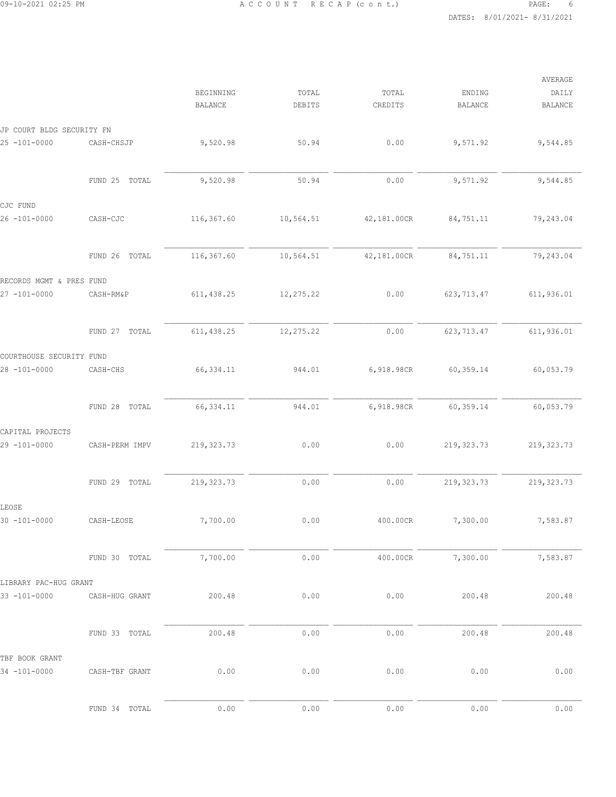|                           |                |                             |                 |                  |                          | AVERAGE                 |
|---------------------------|----------------|-----------------------------|-----------------|------------------|--------------------------|-------------------------|
|                           |                | BEGINNING<br><b>BALANCE</b> | TOTAL<br>DEBITS | TOTAL<br>CREDITS | ENDING<br><b>BALANCE</b> | DAILY<br><b>BALANCE</b> |
| JP COURT BLDG SECURITY FN |                |                             |                 |                  |                          |                         |
| $25 - 101 - 0000$         | CASH-CHSJP     | 9,520.98                    | 50.94           | 0.00             | 9,571.92                 | 9,544.85                |
|                           | FUND 25 TOTAL  | 9,520.98                    | 50.94           | 0.00             | 9,571.92                 | 9,544.85                |
| CJC FUND                  |                |                             |                 |                  |                          |                         |
| $26 - 101 - 0000$         | CASH-CJC       | 116,367.60                  | 10,564.51       | 42,181.00CR      | 84,751.11                | 79,243.04               |
|                           | FUND 26 TOTAL  | 116,367.60                  | 10,564.51       | 42,181.00CR      | 84,751.11                | 79,243.04               |
| RECORDS MGMT & PRES FUND  |                |                             |                 |                  |                          |                         |
| $27 - 101 - 0000$         | CASH-RM&P      | 611, 438.25                 | 12,275.22       | 0.00             | 623, 713.47              | 611,936.01              |
|                           | FUND 27 TOTAL  | 611, 438.25                 | 12,275.22       | 0.00             | 623, 713.47              | 611,936.01              |
| COURTHOUSE SECURITY FUND  |                |                             |                 |                  |                          |                         |
| $28 - 101 - 0000$         | CASH-CHS       | 66, 334.11                  | 944.01          | 6,918.98CR       | 60, 359.14               | 60,053.79               |
|                           | FUND 28 TOTAL  | 66, 334.11                  | 944.01          | 6,918.98CR       | 60, 359.14               | 60,053.79               |
| CAPITAL PROJECTS          |                |                             |                 |                  |                          |                         |
| $29 - 101 - 0000$         | CASH-PERM IMPV | 219, 323.73                 | 0.00            | 0.00             | 219, 323.73              | 219, 323.73             |
|                           | FUND 29 TOTAL  | 219, 323.73                 | 0.00            | 0.00             | 219, 323.73              | 219, 323.73             |
| LEOSE                     |                |                             |                 |                  |                          |                         |
| $30 - 101 - 0000$         | CASH-LEOSE     | 7,700.00                    | 0.00            | 400.00CR         | 7,300.00                 | 7,583.87                |
|                           | FUND 30 TOTAL  | 7,700.00                    | 0.00            | 400.00CR         | 7,300.00                 | 7,583.87                |
| LIBRARY PAC-HUG GRANT     |                |                             |                 |                  |                          |                         |
| $33 - 101 - 0000$         | CASH-HUG GRANT | 200.48                      | 0.00            | 0.00             | 200.48                   | 200.48                  |
|                           | FUND 33 TOTAL  | 200.48                      | 0.00            | 0.00             | 200.48                   | 200.48                  |
| TBF BOOK GRANT            |                |                             |                 |                  |                          |                         |
| 34 -101-0000              | CASH-TBF GRANT | 0.00                        | 0.00            | 0.00             | 0.00                     | 0.00                    |
|                           | FUND 34 TOTAL  | 0.00                        | 0.00            | 0.00             | 0.00                     | 0.00                    |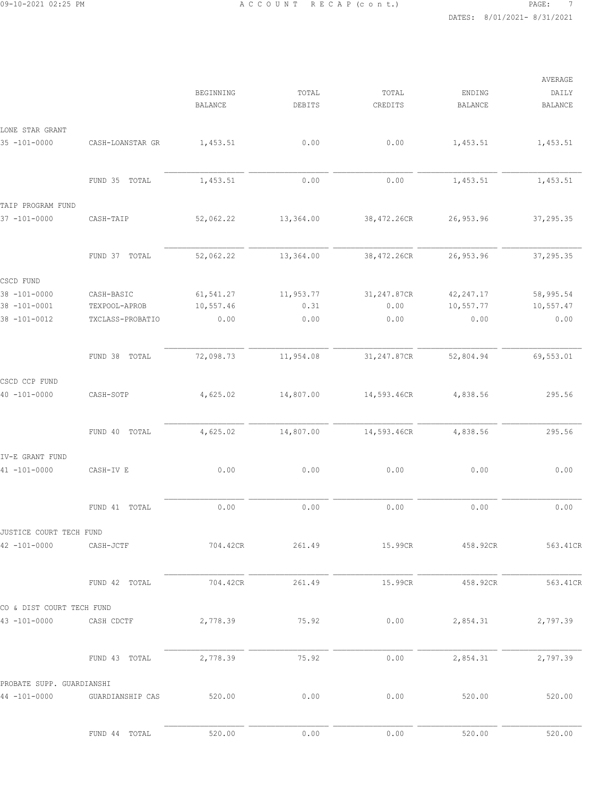|                           |                  | <b>BEGINNING</b><br><b>BALANCE</b> | TOTAL<br>DEBITS | TOTAL<br>CREDITS | ENDING<br><b>BALANCE</b> | AVERAGE<br>DAILY<br><b>BALANCE</b> |
|---------------------------|------------------|------------------------------------|-----------------|------------------|--------------------------|------------------------------------|
| LONE STAR GRANT           |                  |                                    |                 |                  |                          |                                    |
| $35 - 101 - 0000$         | CASH-LOANSTAR GR | 1,453.51                           | 0.00            | 0.00             | 1,453.51                 | 1,453.51                           |
|                           | FUND 35 TOTAL    | 1,453.51                           | 0.00            | 0.00             | 1,453.51                 | 1,453.51                           |
| TAIP PROGRAM FUND         |                  |                                    |                 |                  |                          |                                    |
| $37 - 101 - 0000$         | CASH-TAIP        | 52,062.22                          | 13,364.00       | 38,472.26CR      | 26, 953.96               | 37,295.35                          |
|                           | FUND 37 TOTAL    | 52,062.22                          | 13,364.00       | 38,472.26CR      | 26, 953.96               | 37,295.35                          |
| CSCD FUND                 |                  |                                    |                 |                  |                          |                                    |
| 38 -101-0000              | CASH-BASIC       | 61,541.27                          | 11,953.77       | 31,247.87CR      | 42, 247.17               | 58,995.54                          |
| 38 -101-0001              | TEXPOOL-APROB    | 10,557.46                          | 0.31            | 0.00             | 10,557.77                | 10,557.47                          |
| $38 - 101 - 0012$         | TXCLASS-PROBATIO | 0.00                               | 0.00            | 0.00             | 0.00                     | 0.00                               |
|                           | FUND 38<br>TOTAL | 72,098.73                          | 11,954.08       | 31,247.87CR      | 52,804.94                | 69,553.01                          |
| CSCD CCP FUND             |                  |                                    |                 |                  |                          |                                    |
| $40 - 101 - 0000$         | CASH-SOTP        | 4,625.02                           | 14,807.00       | 14,593.46CR      | 4,838.56                 | 295.56                             |
|                           | FUND 40 TOTAL    | 4,625.02                           | 14,807.00       | 14,593.46CR      | 4,838.56                 | 295.56                             |
| IV-E GRANT FUND           |                  |                                    |                 |                  |                          |                                    |
| $41 - 101 - 0000$         | CASH-IV E        | 0.00                               | 0.00            | 0.00             | 0.00                     | 0.00                               |
|                           | FUND 41 TOTAL    | 0.00                               | 0.00            | 0.00             | 0.00                     | 0.00                               |
| JUSTICE COURT TECH FUND   |                  |                                    |                 |                  |                          |                                    |
| $42 - 101 - 0000$         | CASH-JCTF        | 704.42CR                           | 261.49          | 15.99CR          | 458.92CR                 | 563.41CR                           |
|                           | FUND 42 TOTAL    | 704.42CR                           | 261.49          | 15.99CR          | 458.92CR                 | 563.41CR                           |
| CO & DIST COURT TECH FUND |                  |                                    |                 |                  |                          |                                    |
| $43 - 101 - 0000$         | CASH CDCTF       | 2,778.39                           | 75.92           | 0.00             | 2,854.31                 | 2,797.39                           |
|                           | FUND 43 TOTAL    | 2,778.39                           | 75.92           | 0.00             | 2,854.31                 | 2,797.39                           |
| PROBATE SUPP. GUARDIANSHI |                  |                                    |                 |                  |                          |                                    |
| $44 - 101 - 0000$         | GUARDIANSHIP CAS | 520.00                             | 0.00            | 0.00             | 520.00                   | 520.00                             |
|                           | FUND 44 TOTAL    | 520.00                             | 0.00            | 0.00             | 520.00                   | 520.00                             |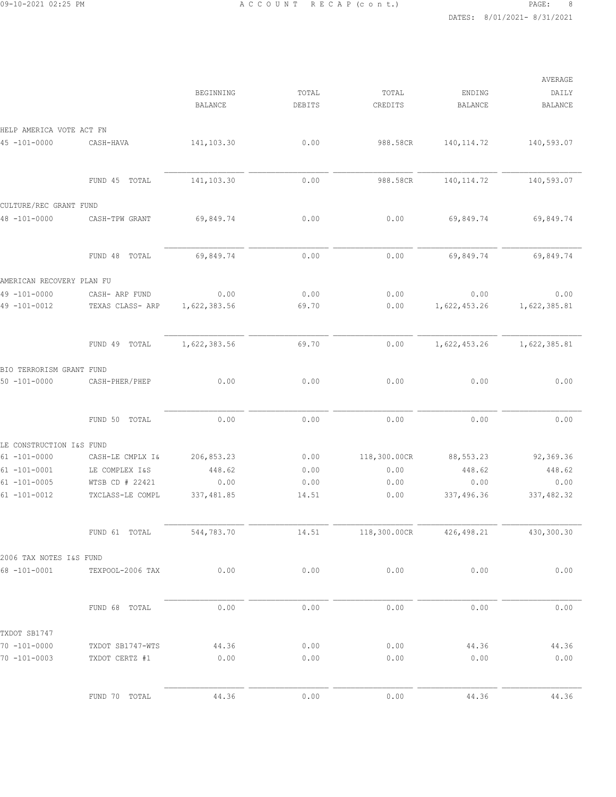|                                        |                                    |                             |                 |                  |                          | AVERAGE                 |  |
|----------------------------------------|------------------------------------|-----------------------------|-----------------|------------------|--------------------------|-------------------------|--|
|                                        |                                    | BEGINNING<br><b>BALANCE</b> | TOTAL<br>DEBITS | TOTAL<br>CREDITS | ENDING<br><b>BALANCE</b> | DAILY<br><b>BALANCE</b> |  |
| HELP AMERICA VOTE ACT FN               |                                    |                             |                 |                  |                          |                         |  |
| $45 - 101 - 0000$                      | CASH-HAVA                          | 141,103.30                  | 0.00            | 988.58CR         | 140, 114.72              | 140,593.07              |  |
|                                        | FUND 45 TOTAL                      | 141,103.30                  | 0.00            | 988.58CR         | 140, 114.72              | 140,593.07              |  |
| CULTURE/REC GRANT FUND                 |                                    |                             |                 |                  |                          |                         |  |
| $48 - 101 - 0000$                      | CASH-TPW GRANT                     | 69,849.74                   | 0.00            | 0.00             | 69,849.74                | 69,849.74               |  |
|                                        | FUND 48 TOTAL                      | 69,849.74                   | 0.00            | 0.00             | 69,849.74                | 69,849.74               |  |
| AMERICAN RECOVERY PLAN FU              |                                    |                             |                 |                  |                          |                         |  |
| $49 - 101 - 0000$<br>$49 - 101 - 0012$ | CASH- ARP FUND<br>TEXAS CLASS- ARP | 0.00<br>1,622,383.56        | 0.00<br>69.70   | 0.00<br>0.00     | 0.00<br>1,622,453.26     | 0.00<br>1,622,385.81    |  |
|                                        | TOTAL<br>FUND 49                   | 1,622,383.56                | 69.70           | 0.00             | 1,622,453.26             | 1,622,385.81            |  |
| BIO TERRORISM GRANT FUND               |                                    |                             |                 |                  |                          |                         |  |
| $50 - 101 - 0000$                      | CASH-PHER/PHEP                     | 0.00                        | 0.00            | 0.00             | 0.00                     | 0.00                    |  |
|                                        | FUND 50 TOTAL                      | 0.00                        | 0.00            | 0.00             | 0.00                     | 0.00                    |  |
| LE CONSTRUCTION I&S FUND               |                                    |                             |                 |                  |                          |                         |  |
| $61 - 101 - 0000$                      | CASH-LE CMPLX I&                   | 206,853.23                  | 0.00            | 118,300.00CR     | 88, 553.23               | 92,369.36               |  |
| $61 - 101 - 0001$                      | LE COMPLEX I&S                     | 448.62                      | 0.00            | 0.00             | 448.62                   | 448.62                  |  |
| $61 - 101 - 0005$                      | WTSB CD # 22421                    | 0.00                        | 0.00            | 0.00             | 0.00                     | 0.00                    |  |
| $61 - 101 - 0012$                      | TXCLASS-LE COMPL                   | 337, 481.85                 | 14.51           | 0.00             | 337,496.36               | 337,482.32              |  |
|                                        | FUND 61 TOTAL                      | 544,783.70                  | 14.51           | 118,300.00CR     | 426, 498.21              | 430,300.30              |  |
| 2006 TAX NOTES I&S FUND                |                                    |                             |                 |                  |                          |                         |  |
| $68 - 101 - 0001$                      | TEXPOOL-2006 TAX                   | 0.00                        | 0.00            | 0.00             | 0.00                     | 0.00                    |  |
|                                        | FUND 68 TOTAL                      | 0.00                        | 0.00            | 0.00             | 0.00                     | 0.00                    |  |
| TXDOT SB1747                           |                                    |                             |                 |                  |                          |                         |  |
| $70 - 101 - 0000$                      | TXDOT SB1747-WTS                   | 44.36                       | 0.00            | 0.00             | 44.36                    | 44.36                   |  |
| $70 - 101 - 0003$                      | TXDOT CERTZ #1                     | 0.00                        | 0.00            | 0.00             | 0.00                     | 0.00                    |  |
|                                        | FUND 70 TOTAL                      | 44.36                       | 0.00            | 0.00             | 44.36                    | 44.36                   |  |